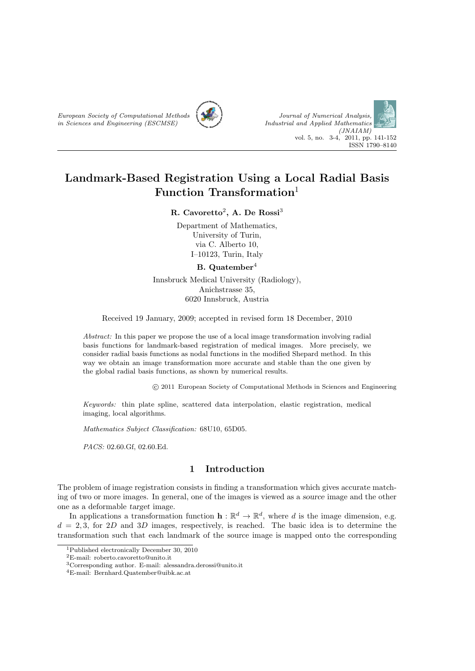



# **Landmark-Based Registration Using a Local Radial Basis Function Transformation**<sup>1</sup>

# **R. Cavoretto**<sup>2</sup> **, A. De Rossi**<sup>3</sup>

Department of Mathematics, University of Turin, via C. Alberto 10, I–10123, Turin, Italy

#### **B. Quatember**<sup>4</sup>

Innsbruck Medical University (Radiology), Anichstrasse 35, 6020 Innsbruck, Austria

Received 19 January, 2009; accepted in revised form 18 December, 2010

*Abstract:* In this paper we propose the use of a local image transformation involving radial basis functions for landmark-based registration of medical images. More precisely, we consider radial basis functions as nodal functions in the modified Shepard method. In this way we obtain an image transformation more accurate and stable than the one given by the global radial basis functions, as shown by numerical results.

*⃝*c 2011 European Society of Computational Methods in Sciences and Engineering

*Keywords:* thin plate spline, scattered data interpolation, elastic registration, medical imaging, local algorithms.

*Mathematics Subject Classification:* 68U10, 65D05.

*PACS:* 02.60.Gf, 02.60.Ed.

# **1 Introduction**

The problem of image registration consists in finding a transformation which gives accurate matching of two or more images. In general, one of the images is viewed as a *source* image and the other one as a deformable *target* image.

In applications a transformation function  $\mathbf{h} : \mathbb{R}^d \to \mathbb{R}^d$ , where *d* is the image dimension, e.g.  $d = 2,3$ , for 2*D* and 3*D* images, respectively, is reached. The basic idea is to determine the transformation such that each landmark of the source image is mapped onto the corresponding

<sup>1</sup>Published electronically December 30, 2010

<sup>2</sup>E-mail: roberto.cavoretto@unito.it

<sup>3</sup>Corresponding author. E-mail: alessandra.derossi@unito.it

<sup>4</sup>E-mail: Bernhard.Quatember@uibk.ac.at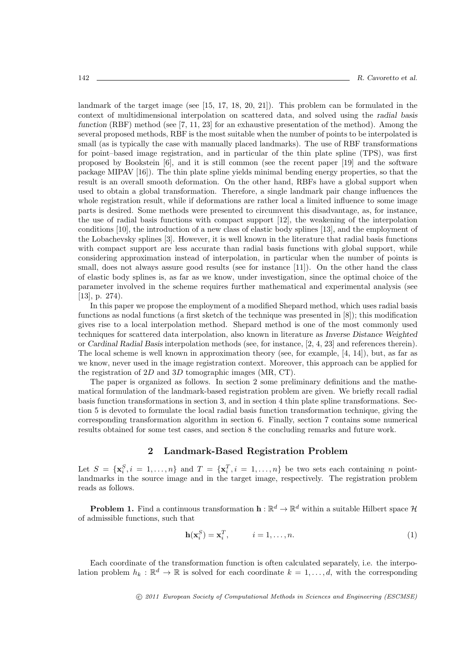landmark of the target image (see [15, 17, 18, 20, 21]). This problem can be formulated in the context of multidimensional interpolation on scattered data, and solved using the *radial basis function* (RBF) method (see [7, 11, 23] for an exhaustive presentation of the method). Among the several proposed methods, RBF is the most suitable when the number of points to be interpolated is small (as is typically the case with manually placed landmarks). The use of RBF transformations for point–based image registration, and in particular of the thin plate spline (TPS), was first proposed by Bookstein [6], and it is still common (see the recent paper [19] and the software package MIPAV [16]). The thin plate spline yields minimal bending energy properties, so that the result is an overall smooth deformation. On the other hand, RBFs have a global support when used to obtain a global transformation. Therefore, a single landmark pair change influences the whole registration result, while if deformations are rather local a limited influence to some image parts is desired. Some methods were presented to circumvent this disadvantage, as, for instance, the use of radial basis functions with compact support [12], the weakening of the interpolation conditions [10], the introduction of a new class of elastic body splines [13], and the employment of the Lobachevsky splines [3]. However, it is well known in the literature that radial basis functions with compact support are less accurate than radial basis functions with global support, while considering approximation instead of interpolation, in particular when the number of points is small, does not always assure good results (see for instance [11]). On the other hand the class of elastic body splines is, as far as we know, under investigation, since the optimal choice of the parameter involved in the scheme requires further mathematical and experimental analysis (see [13], p. 274).

In this paper we propose the employment of a modified Shepard method, which uses radial basis functions as nodal functions (a first sketch of the technique was presented in [8]); this modification gives rise to a local interpolation method. Shepard method is one of the most commonly used techniques for scattered data interpolation, also known in literature as *Inverse Distance Weighted* or *Cardinal Radial Basis* interpolation methods (see, for instance, [2, 4, 23] and references therein). The local scheme is well known in approximation theory (see, for example, [4, 14]), but, as far as we know, never used in the image registration context. Moreover, this approach can be applied for the registration of 2*D* and 3*D* tomographic images (MR, CT).

The paper is organized as follows. In section 2 some preliminary definitions and the mathematical formulation of the landmark-based registration problem are given. We briefly recall radial basis function transformations in section 3, and in section 4 thin plate spline transformations. Section 5 is devoted to formulate the local radial basis function transformation technique, giving the corresponding transformation algorithm in section 6. Finally, section 7 contains some numerical results obtained for some test cases, and section 8 the concluding remarks and future work.

## **2 Landmark-Based Registration Problem**

Let  $S = {\mathbf{x}_i^S, i = 1, ..., n}$  and  $T = {\mathbf{x}_i^T, i = 1, ..., n}$  be two sets each containing *n* pointlandmarks in the source image and in the target image, respectively. The registration problem reads as follows.

**Problem 1.** Find a continuous transformation  $h : \mathbb{R}^d \to \mathbb{R}^d$  within a suitable Hilbert space  $\mathcal{H}$ of admissible functions, such that

$$
\mathbf{h}(\mathbf{x}_i^S) = \mathbf{x}_i^T, \qquad i = 1, \dots, n. \tag{1}
$$

Each coordinate of the transformation function is often calculated separately, i.e. the interpolation problem  $h_k : \mathbb{R}^d \to \mathbb{R}$  is solved for each coordinate  $k = 1, \ldots, d$ , with the corresponding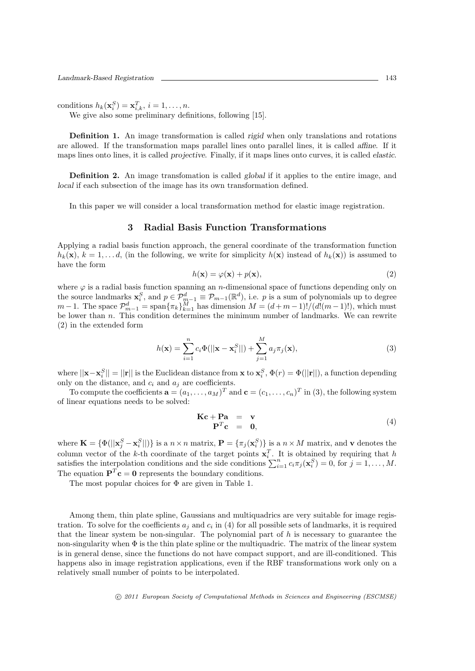conditions  $h_k(\mathbf{x}_i^S) = \mathbf{x}_{i,k}^T, i = 1, \ldots, n$ .

We give also some preliminary definitions, following [15].

**Definition 1.** An image transformation is called *rigid* when only translations and rotations are allowed. If the transformation maps parallel lines onto parallel lines, it is called *affine*. If it maps lines onto lines, it is called *projective*. Finally, if it maps lines onto curves, it is called *elastic*.

**Definition 2.** An image transfomation is called *global* if it applies to the entire image, and *local* if each subsection of the image has its own transformation defined.

In this paper we will consider a local transformation method for elastic image registration.

#### **3 Radial Basis Function Transformations**

Applying a radial basis function approach, the general coordinate of the transformation function  $h_k(\mathbf{x})$ ,  $k = 1, \ldots d$ , (in the following, we write for simplicity  $h(\mathbf{x})$  instead of  $h_k(\mathbf{x})$ ) is assumed to have the form

$$
h(\mathbf{x}) = \varphi(\mathbf{x}) + p(\mathbf{x}),\tag{2}
$$

where  $\varphi$  is a radial basis function spanning an *n*-dimensional space of functions depending only on the source landmarks  $\mathbf{x}_i^S$ , and  $p \in \mathcal{P}_{m-1}^d \equiv \mathcal{P}_{m-1}(\mathbb{R}^d)$ , i.e. *p* is a sum of polynomials up to degree  $m-1$ . The space  $\mathcal{P}_{m-1}^d = \text{span}\{\pi_k\}_{k=1}^M$  has dimension  $M = (d+m-1)!/(d!(m-1)!)$ , which must be lower than *n*. This condition determines the minimum number of landmarks. We can rewrite (2) in the extended form

$$
h(\mathbf{x}) = \sum_{i=1}^{n} c_i \Phi(||\mathbf{x} - \mathbf{x}_i^S||) + \sum_{j=1}^{M} a_j \pi_j(\mathbf{x}),
$$
\n(3)

where  $||\mathbf{x}-\mathbf{x}_i^S||=||\mathbf{r}||$  is the Euclidean distance from  $\mathbf{x}$  to  $\mathbf{x}_i^S$ ,  $\Phi(r) = \Phi(||\mathbf{r}||)$ , a function depending only on the distance, and  $c_i$  and  $a_j$  are coefficients.

To compute the coefficients  $\mathbf{a} = (a_1, \ldots, a_M)^T$  and  $\mathbf{c} = (c_1, \ldots, c_n)^T$  in (3), the following system of linear equations needs to be solved:

$$
\begin{array}{rcl}\n\mathbf{Kc} + \mathbf{Pa} & = & \mathbf{v} \\
\mathbf{P}^T \mathbf{c} & = & \mathbf{0},\n\end{array} \tag{4}
$$

where  $\mathbf{K} = \{ \Phi(||\mathbf{x}_j^S - \mathbf{x}_i^S||) \}$  is a  $n \times n$  matrix,  $\mathbf{P} = \{\pi_j(\mathbf{x}_i^S)\}\$ is a  $n \times M$  matrix, and v denotes the column vector of the *k*-th coordinate of the target points  $\mathbf{x}_i^T$ . It is obtained by requiring that *h* satisfies the interpolation conditions and the side conditions  $\sum_{i=1}^{n} c_i \pi_j(\mathbf{x}_i^S) = 0$ , for  $j = 1, ..., M$ . The equation  $\mathbf{P}^T \mathbf{c} = \mathbf{0}$  represents the boundary conditions.

The most popular choices for  $\Phi$  are given in Table 1.

Among them, thin plate spline, Gaussians and multiquadrics are very suitable for image registration. To solve for the coefficients  $a_j$  and  $c_i$  in (4) for all possible sets of landmarks, it is required that the linear system be non-singular. The polynomial part of *h* is necessary to guarantee the non-singularity when Φ is the thin plate spline or the multiquadric. The matrix of the linear system is in general dense, since the functions do not have compact support, and are ill-conditioned. This happens also in image registration applications, even if the RBF transformations work only on a relatively small number of points to be interpolated.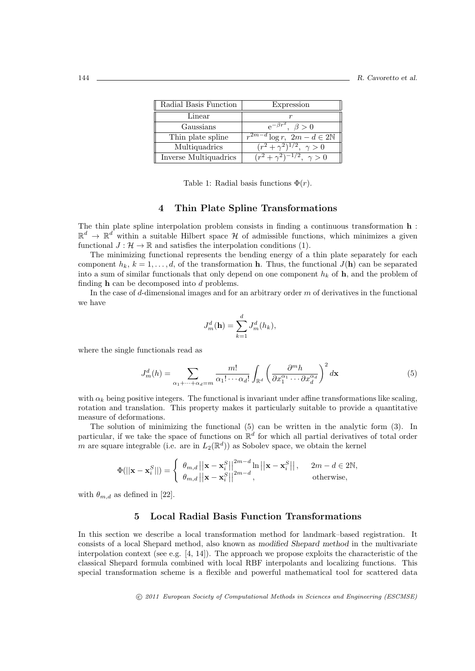|  | Radial Basis Function | Expression                                |
|--|-----------------------|-------------------------------------------|
|  | Linear                |                                           |
|  | Gaussians             | $e^{-\beta r^2}, \ \beta > 0$             |
|  | Thin plate spline     | $r^{2m-d}\log r$ , $2m-d \in 2\mathbb{N}$ |
|  | Multiquadrics         | $\sqrt{(r^2+\gamma^2)^{1/2}}, \gamma > 0$ |
|  | Inverse Multiquadrics | $(r^2+\gamma^2)^{-1/2}, \ \gamma>0$       |

Table 1: Radial basis functions  $\Phi(r)$ .

# **4 Thin Plate Spline Transformations**

The thin plate spline interpolation problem consists in finding a continuous transformation **h** :  $\mathbb{R}^d \to \mathbb{R}^d$  within a suitable Hilbert space  $\mathcal H$  of admissible functions, which minimizes a given functional  $J: \mathcal{H} \to \mathbb{R}$  and satisfies the interpolation conditions (1).

The minimizing functional represents the bending energy of a thin plate separately for each component  $h_k$ ,  $k = 1, \ldots, d$ , of the transformation **h**. Thus, the functional  $J(\mathbf{h})$  can be separated into a sum of similar functionals that only depend on one component  $h_k$  of  $h$ , and the problem of finding **h** can be decomposed into *d* problems.

In the case of *d*-dimensional images and for an arbitrary order *m* of derivatives in the functional we have

$$
J_m^d(\mathbf{h}) = \sum_{k=1}^d J_m^d(h_k),
$$

where the single functionals read as

$$
J_m^d(h) = \sum_{\alpha_1 + \dots + \alpha_d = m} \frac{m!}{\alpha_1! \cdots \alpha_d!} \int_{\mathbb{R}^d} \left( \frac{\partial^m h}{\partial x_1^{\alpha_1} \cdots \partial x_d^{\alpha_d}} \right)^2 d\mathbf{x}
$$
 (5)

with  $\alpha_k$  being positive integers. The functional is invariant under affine transformations like scaling, rotation and translation. This property makes it particularly suitable to provide a quantitative measure of deformations.

The solution of minimizing the functional (5) can be written in the analytic form (3). In particular, if we take the space of functions on  $\mathbb{R}^d$  for which all partial derivatives of total order *m* are square integrable (i.e. are in  $L_2(\mathbb{R}^d)$ ) as Sobolev space, we obtain the kernel

$$
\Phi(||\mathbf{x} - \mathbf{x}_i^S||) = \begin{cases} \|\boldsymbol{\theta}_{m,d}\| \|\mathbf{x} - \mathbf{x}_i^S\|^{2m-d} \ln ||\mathbf{x} - \mathbf{x}_i^S|| \,, & 2m - d \in 2\mathbb{N}, \\ \|\boldsymbol{\theta}_{m,d}\| \|\mathbf{x} - \mathbf{x}_i^S\|^{2m-d} \,, & \text{otherwise}, \end{cases}
$$

with  $\theta_{m,d}$  as defined in [22].

#### **5 Local Radial Basis Function Transformations**

In this section we describe a local transformation method for landmark–based registration. It consists of a local Shepard method, also known as *modified Shepard method* in the multivariate interpolation context (see e.g. [4, 14]). The approach we propose exploits the characteristic of the classical Shepard formula combined with local RBF interpolants and localizing functions. This special transformation scheme is a flexible and powerful mathematical tool for scattered data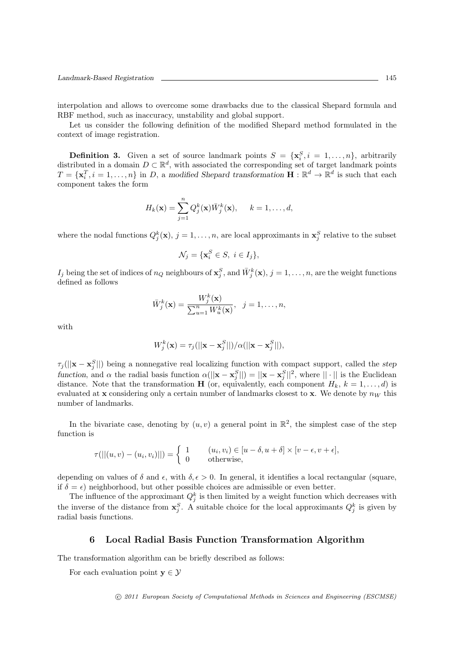interpolation and allows to overcome some drawbacks due to the classical Shepard formula and RBF method, such as inaccuracy, unstability and global support.

Let us consider the following definition of the modified Shepard method formulated in the context of image registration.

**Definition 3.** Given a set of source landmark points  $S = {\mathbf{x}_i^S, i = 1, ..., n}$ , arbitrarily *Definition* **3.** Given a set of source landmark points  $S = \{x_i, i = 1, ..., n_f\}$ , at but any distributed in a domain  $D \subset \mathbb{R}^d$ , with associated the corresponding set of target landmark points  $T = {\mathbf{x}_i^T, i = 1, ..., n}$  in *D*, a *modified Shepard transformation*  $\mathbf{H} : \mathbb{R}^d \to \mathbb{R}^d$  is such that each component takes the form

$$
H_k(\mathbf{x}) = \sum_{j=1}^n Q_j^k(\mathbf{x}) \overline{W}_j^k(\mathbf{x}), \quad k = 1, \dots, d,
$$

where the nodal functions  $Q_j^k(\mathbf{x}), j = 1, \ldots, n$ , are local approximants in  $\mathbf{x}_j^S$  relative to the subset

$$
\mathcal{N}_j = \{ \mathbf{x}_i^S \in S, \ i \in I_j \},
$$

 $I_j$  being the set of indices of  $n_Q$  neighbours of  $\mathbf{x}_j^S$ , and  $\bar{W}_j^k(\mathbf{x}), j = 1, \ldots, n$ , are the weight functions defined as follows

$$
\bar{W}_j^k(\mathbf{x}) = \frac{W_j^k(\mathbf{x})}{\sum_{u=1}^n W_u^k(\mathbf{x})}, \quad j = 1, \dots, n,
$$

with

$$
W_j^k(\mathbf{x}) = \tau_j(||\mathbf{x} - \mathbf{x}_j^S||)/\alpha(||\mathbf{x} - \mathbf{x}_j^S||),
$$

 $\tau_j(||\mathbf{x} - \mathbf{x}_j^S||)$  being a nonnegative real localizing function with compact support, called the *step* function, and  $\alpha$  the radial basis function  $\alpha(||\mathbf{x} - \mathbf{x}_j^S||) = ||\mathbf{x} - \mathbf{x}_j^S||^2$ , where  $|| \cdot ||$  is the Euclidean distance. Note that the transformation **H** (or, equivalently, each component  $H_k$ ,  $k = 1, \ldots, d$ ) is evaluated at **x** considering only a certain number of landmarks closest to **x**. We denote by  $n_W$  this number of landmarks.

In the bivariate case, denoting by  $(u, v)$  a general point in  $\mathbb{R}^2$ , the simplest case of the step function is

$$
\tau(||(u, v) - (u_i, v_i)||) = \begin{cases} 1 & (u_i, v_i) \in [u - \delta, u + \delta] \times [v - \epsilon, v + \epsilon], \\ 0 & \text{otherwise}, \end{cases}
$$

depending on values of  $\delta$  and  $\epsilon$ , with  $\delta$ ,  $\epsilon > 0$ . In general, it identifies a local rectangular (square, if  $\delta = \epsilon$ ) neighborhood, but other possible choices are admissible or even better.

The influence of the approximant  $Q_j^k$  is then limited by a weight function which decreases with the inverse of the distance from  $\mathbf{x}_{j}^{S}$ . A suitable choice for the local approximants  $Q_{j}^{k}$  is given by radial basis functions.

#### **6 Local Radial Basis Function Transformation Algorithm**

The transformation algorithm can be briefly described as follows:

For each evaluation point  $\mathbf{v} \in \mathcal{V}$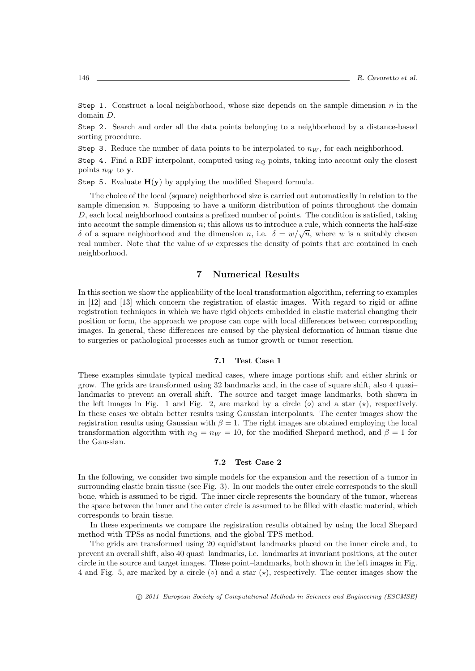Step 1. Construct a local neighborhood, whose size depends on the sample dimension *n* in the domain *D*.

Step 2. Search and order all the data points belonging to a neighborhood by a distance-based sorting procedure.

Step 3. Reduce the number of data points to be interpolated to  $n_W$ , for each neighborhood.

Step 4. Find a RBF interpolant, computed using  $n_Q$  points, taking into account only the closest points  $n_W$  to **y**.

Step 5. Evaluate  $H(y)$  by applying the modified Shepard formula.

The choice of the local (square) neighborhood size is carried out automatically in relation to the sample dimension *n*. Supposing to have a uniform distribution of points throughout the domain *D*, each local neighborhood contains a prefixed number of points. The condition is satisfied, taking into account the sample dimension *n*; this allows us to introduce a rule, which connects the half-size *δ* of a square neighborhood and the dimension *n*, i.e.  $\delta = w/\sqrt{n}$ , where *w* is a suitably chosen real number. Note that the value of *w* expresses the density of points that are contained in each neighborhood.

## **7 Numerical Results**

In this section we show the applicability of the local transformation algorithm, referring to examples in [12] and [13] which concern the registration of elastic images. With regard to rigid or affine registration techniques in which we have rigid objects embedded in elastic material changing their position or form, the approach we propose can cope with local differences between corresponding images. In general, these differences are caused by the physical deformation of human tissue due to surgeries or pathological processes such as tumor growth or tumor resection.

#### **7.1 Test Case 1**

These examples simulate typical medical cases, where image portions shift and either shrink or grow. The grids are transformed using 32 landmarks and, in the case of square shift, also 4 quasi– landmarks to prevent an overall shift. The source and target image landmarks, both shown in the left images in Fig. 1 and Fig. 2, are marked by a circle (*◦*) and a star (*⋆*), respectively. In these cases we obtain better results using Gaussian interpolants. The center images show the registration results using Gaussian with  $\beta = 1$ . The right images are obtained employing the local transformation algorithm with  $n_Q = n_W = 10$ , for the modified Shepard method, and  $\beta = 1$  for the Gaussian.

#### **7.2 Test Case 2**

In the following, we consider two simple models for the expansion and the resection of a tumor in surrounding elastic brain tissue (see Fig. 3). In our models the outer circle corresponds to the skull bone, which is assumed to be rigid. The inner circle represents the boundary of the tumor, whereas the space between the inner and the outer circle is assumed to be filled with elastic material, which corresponds to brain tissue.

In these experiments we compare the registration results obtained by using the local Shepard method with TPSs as nodal functions, and the global TPS method.

The grids are transformed using 20 equidistant landmarks placed on the inner circle and, to prevent an overall shift, also 40 quasi–landmarks, i.e. landmarks at invariant positions, at the outer circle in the source and target images. These point–landmarks, both shown in the left images in Fig. 4 and Fig. 5, are marked by a circle (*◦*) and a star (*⋆*), respectively. The center images show the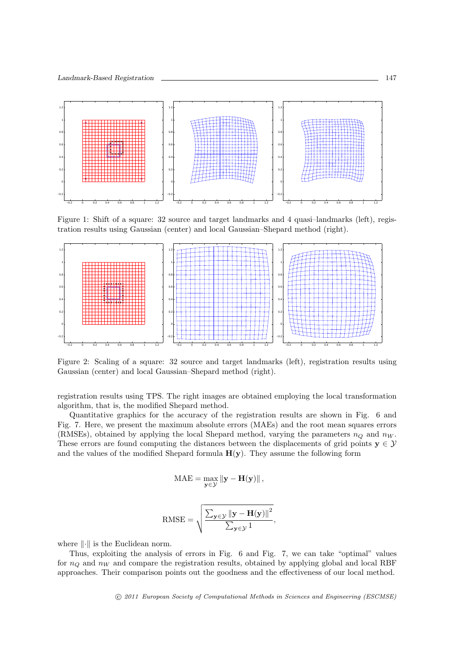

Figure 1: Shift of a square: 32 source and target landmarks and 4 quasi–landmarks (left), registration results using Gaussian (center) and local Gaussian–Shepard method (right).



Figure 2: Scaling of a square: 32 source and target landmarks (left), registration results using Gaussian (center) and local Gaussian–Shepard method (right).

registration results using TPS. The right images are obtained employing the local transformation algorithm, that is, the modified Shepard method.

Quantitative graphics for the accuracy of the registration results are shown in Fig. 6 and Fig. 7. Here, we present the maximum absolute errors (MAEs) and the root mean squares errors (RMSEs), obtained by applying the local Shepard method, varying the parameters  $n_Q$  and  $n_W$ . These errors are found computing the distances between the displacements of grid points  $y \in \mathcal{Y}$ and the values of the modified Shepard formula  $H(y)$ . They assume the following form

$$
\mathrm{MAE} = \max_{\mathbf{y} \in \mathcal{Y}} \left\| \mathbf{y} - \mathbf{H}(\mathbf{y}) \right\|,
$$

RMSE = 
$$
\sqrt{\frac{\sum_{\mathbf{y} \in \mathcal{Y}} ||\mathbf{y} - \mathbf{H}(\mathbf{y})||^2}{\sum_{\mathbf{y} \in \mathcal{Y}} 1}},
$$

where *∥·∥* is the Euclidean norm.

Thus, exploiting the analysis of errors in Fig. 6 and Fig. 7, we can take "optimal" values for  $n_Q$  and  $n_W$  and compare the registration results, obtained by applying global and local RBF approaches. Their comparison points out the goodness and the effectiveness of our local method.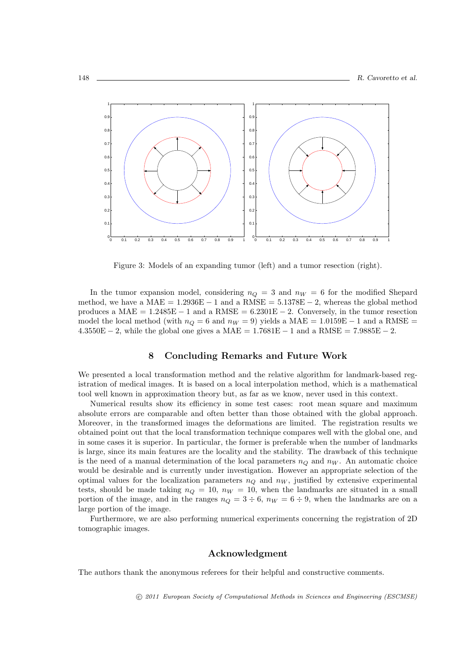

Figure 3: Models of an expanding tumor (left) and a tumor resection (right).

In the tumor expansion model, considering  $n_Q = 3$  and  $n_W = 6$  for the modified Shepard method, we have a MAE =  $1.2936E - 1$  and a RMSE =  $5.1378E - 2$ , whereas the global method produces a MAE = 1.2485E *−* 1 and a RMSE = 6.2301E *−* 2. Conversely, in the tumor resection model the local method (with  $n_Q = 6$  and  $n_W = 9$ ) yields a MAE = 1.0159E − 1 and a RMSE = 4.3550E *−* 2, while the global one gives a MAE = 1.7681E *−* 1 and a RMSE = 7.9885E *−* 2.

#### **8 Concluding Remarks and Future Work**

We presented a local transformation method and the relative algorithm for landmark-based registration of medical images. It is based on a local interpolation method, which is a mathematical tool well known in approximation theory but, as far as we know, never used in this context.

Numerical results show its efficiency in some test cases: root mean square and maximum absolute errors are comparable and often better than those obtained with the global approach. Moreover, in the transformed images the deformations are limited. The registration results we obtained point out that the local transformation technique compares well with the global one, and in some cases it is superior. In particular, the former is preferable when the number of landmarks is large, since its main features are the locality and the stability. The drawback of this technique is the need of a manual determination of the local parameters  $n_Q$  and  $n_W$ . An automatic choice would be desirable and is currently under investigation. However an appropriate selection of the optimal values for the localization parameters  $n_Q$  and  $n_W$ , justified by extensive experimental tests, should be made taking  $n_Q = 10$ ,  $n_W = 10$ , when the landmarks are situated in a small portion of the image, and in the ranges  $n_Q = 3 \div 6$ ,  $n_W = 6 \div 9$ , when the landmarks are on a large portion of the image.

Furthermore, we are also performing numerical experiments concerning the registration of 2D tomographic images.

#### **Acknowledgment**

The authors thank the anonymous referees for their helpful and constructive comments.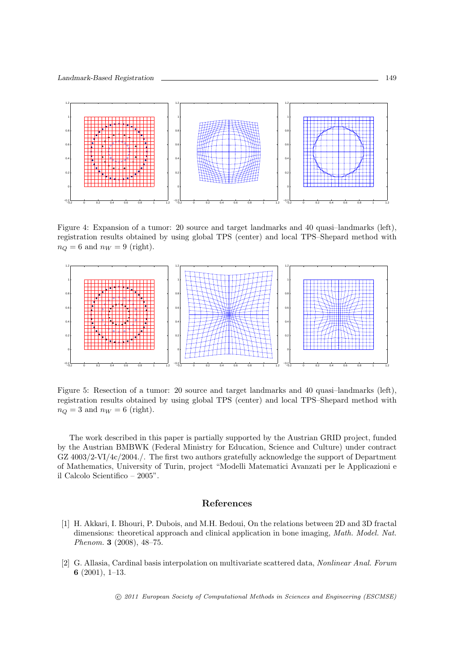

Figure 4: Expansion of a tumor: 20 source and target landmarks and 40 quasi–landmarks (left), registration results obtained by using global TPS (center) and local TPS–Shepard method with  $n_Q = 6$  and  $n_W = 9$  (right).



Figure 5: Resection of a tumor: 20 source and target landmarks and 40 quasi–landmarks (left), registration results obtained by using global TPS (center) and local TPS–Shepard method with  $n_Q = 3$  and  $n_W = 6$  (right).

The work described in this paper is partially supported by the Austrian GRID project, funded by the Austrian BMBWK (Federal Ministry for Education, Science and Culture) under contract GZ 4003/2-VI/4c/2004./. The first two authors gratefully acknowledge the support of Department of Mathematics, University of Turin, project "Modelli Matematici Avanzati per le Applicazioni e il Calcolo Scientifico – 2005".

#### **References**

- [1] H. Akkari, I. Bhouri, P. Dubois, and M.H. Bedoui, On the relations between 2D and 3D fractal dimensions: theoretical approach and clinical application in bone imaging, *Math. Model. Nat. Phenom.* **3** (2008), 48–75.
- [2] G. Allasia, Cardinal basis interpolation on multivariate scattered data, *Nonlinear Anal. Forum* **6** (2001), 1–13.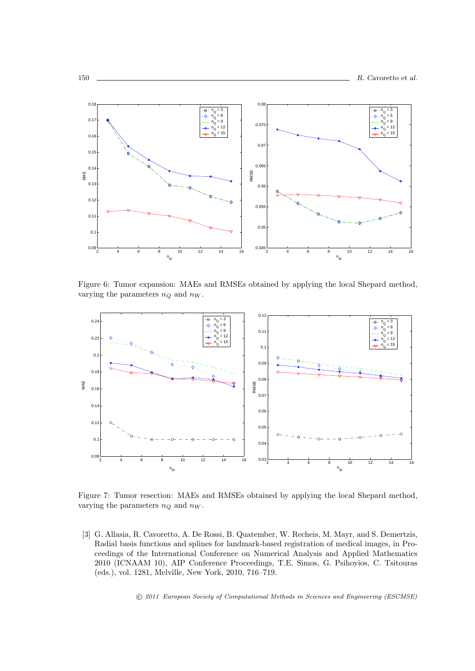

Figure 6: Tumor expansion: MAEs and RMSEs obtained by applying the local Shepard method, varying the parameters  $n_Q$  and  $n_W$ .



Figure 7: Tumor resection: MAEs and RMSEs obtained by applying the local Shepard method, varying the parameters  $n_Q$  and  $n_W$ .

[3] G. Allasia, R. Cavoretto, A. De Rossi, B. Quatember, W. Recheis, M. Mayr, and S. Demertzis, Radial basis functions and splines for landmark-based registration of medical images, in Proceedings of the International Conference on Numerical Analysis and Applied Mathematics 2010 (ICNAAM 10), AIP Conference Proceedings, T.E. Simos, G. Psihoyios, C. Tsitouras (eds.), vol. 1281, Melville, New York, 2010, 716–719.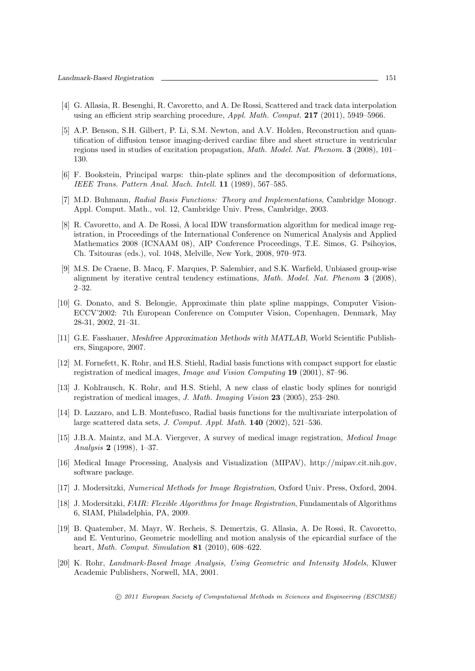- [4] G. Allasia, R. Besenghi, R. Cavoretto, and A. De Rossi, Scattered and track data interpolation using an efficient strip searching procedure, *Appl. Math. Comput.* **217** (2011), 5949–5966.
- [5] A.P. Benson, S.H. Gilbert, P. Li, S.M. Newton, and A.V. Holden, Reconstruction and quantification of diffusion tensor imaging-derived cardiac fibre and sheet structure in ventricular regions used in studies of excitation propagation, *Math. Model. Nat. Phenom.* **3** (2008), 101– 130.
- [6] F. Bookstein, Principal warps: thin-plate splines and the decomposition of deformations, *IEEE Trans. Pattern Anal. Mach. Intell.* **11** (1989), 567–585.
- [7] M.D. Buhmann, *Radial Basis Functions: Theory and Implementations*, Cambridge Monogr. Appl. Comput. Math., vol. 12, Cambridge Univ. Press, Cambridge, 2003.
- [8] R. Cavoretto, and A. De Rossi, A local IDW transformation algorithm for medical image registration, in Proceedings of the International Conference on Numerical Analysis and Applied Mathematics 2008 (ICNAAM 08), AIP Conference Proceedings, T.E. Simos, G. Psihoyios, Ch. Tsitouras (eds.), vol. 1048, Melville, New York, 2008, 970–973.
- [9] M.S. De Craene, B. Macq, F. Marques, P. Salembier, and S.K. Warfield, Unbiased group-wise alignment by iterative central tendency estimations, *Math. Model. Nat. Phenom* **3** (2008), 2–32.
- [10] G. Donato, and S. Belongie, Approximate thin plate spline mappings, Computer Vision-ECCV'2002: 7th European Conference on Computer Vision, Copenhagen, Denmark, May 28-31, 2002, 21–31.
- [11] G.E. Fasshauer, *Meshfree Approximation Methods with MATLAB*, World Scientific Publishers, Singapore, 2007.
- [12] M. Fornefett, K. Rohr, and H.S. Stiehl, Radial basis functions with compact support for elastic registration of medical images, *Image and Vision Computing* **19** (2001), 87–96.
- [13] J. Kohlrausch, K. Rohr, and H.S. Stiehl, A new class of elastic body splines for nonrigid registration of medical images, *J. Math. Imaging Vision* **23** (2005), 253–280.
- [14] D. Lazzaro, and L.B. Montefusco, Radial basis functions for the multivariate interpolation of large scattered data sets, *J. Comput. Appl. Math.* **140** (2002), 521–536.
- [15] J.B.A. Maintz, and M.A. Viergever, A survey of medical image registration, *Medical Image Analysis* **2** (1998), 1–37.
- [16] Medical Image Processing, Analysis and Visualization (MIPAV), http://mipav.cit.nih.gov, software package.
- [17] J. Modersitzki, *Numerical Methods for Image Registration*, Oxford Univ. Press, Oxford, 2004.
- [18] J. Modersitzki, *FAIR: Flexible Algorithms for Image Registration*, Fundamentals of Algorithms 6, SIAM, Philadelphia, PA, 2009.
- [19] B. Quatember, M. Mayr, W. Recheis, S. Demertzis, G. Allasia, A. De Rossi, R. Cavoretto, and E. Venturino, Geometric modelling and motion analysis of the epicardial surface of the heart, *Math. Comput. Simulation* **81** (2010), 608–622.
- [20] K. Rohr, *Landmark-Based Image Analysis, Using Geometric and Intensity Models*, Kluwer Academic Publishers, Norwell, MA, 2001.